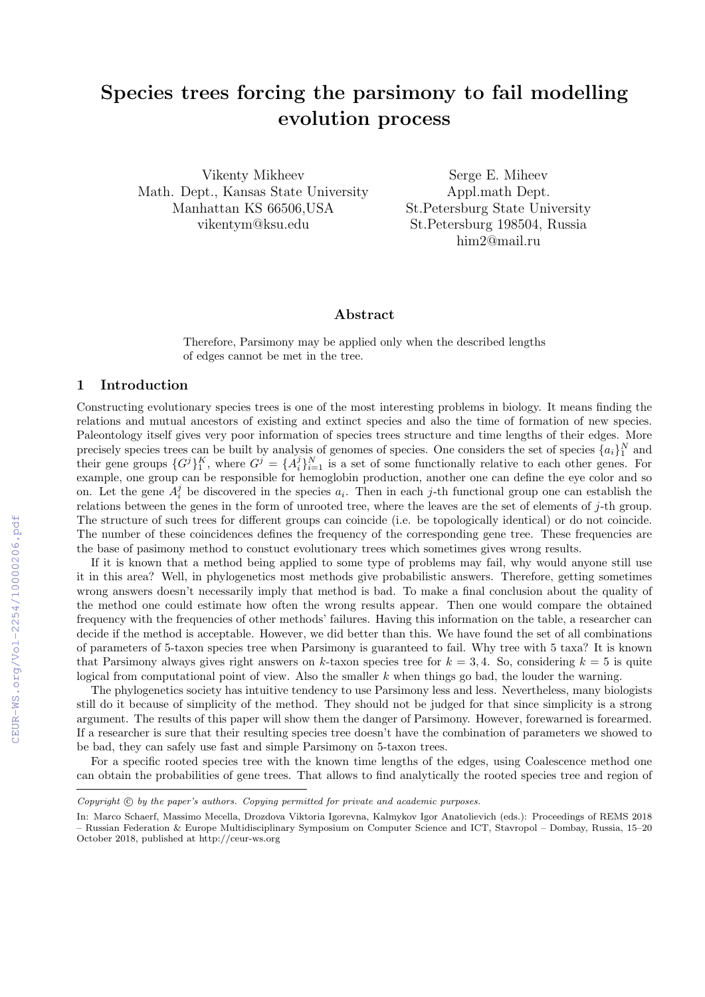# Species trees forcing the parsimony to fail modelling evolution process

Vikenty Mikheev Math. Dept., Kansas State University Manhattan KS 66506,USA vikentym@ksu.edu

Serge E. Miheev Appl.math Dept. St.Petersburg State University St.Petersburg 198504, Russia him2@mail.ru

#### Abstract

Therefore, Parsimony may be applied only when the described lengths of edges cannot be met in the tree.

## 1 Introduction

Constructing evolutionary species trees is one of the most interesting problems in biology. It means finding the relations and mutual ancestors of existing and extinct species and also the time of formation of new species. Paleontology itself gives very poor information of species trees structure and time lengths of their edges. More precisely species trees can be built by analysis of genomes of species. One considers the set of species  $\{a_i\}_1^N$  and their gene groups  $\{G^j\}_1^K$ , where  $G^j = \{A_i^j\}_{i=1}^N$  is a set of some functionally relative to each other genes. For example, one group can be responsible for hemoglobin production, another one can define the eye color and so on. Let the gene  $A_i^j$  be discovered in the species  $a_i$ . Then in each j-th functional group one can establish the relations between the genes in the form of unrooted tree, where the leaves are the set of elements of j-th group. The structure of such trees for different groups can coincide (i.e. be topologically identical) or do not coincide. The number of these coincidences defines the frequency of the corresponding gene tree. These frequencies are the base of pasimony method to constuct evolutionary trees which sometimes gives wrong results.

If it is known that a method being applied to some type of problems may fail, why would anyone still use it in this area? Well, in phylogenetics most methods give probabilistic answers. Therefore, getting sometimes wrong answers doesn't necessarily imply that method is bad. To make a final conclusion about the quality of the method one could estimate how often the wrong results appear. Then one would compare the obtained frequency with the frequencies of other methods' failures. Having this information on the table, a researcher can decide if the method is acceptable. However, we did better than this. We have found the set of all combinations of parameters of 5-taxon species tree when Parsimony is guaranteed to fail. Why tree with 5 taxa? It is known that Parsimony always gives right answers on k-taxon species tree for  $k = 3, 4$ . So, considering  $k = 5$  is quite logical from computational point of view. Also the smaller  $k$  when things go bad, the louder the warning.

The phylogenetics society has intuitive tendency to use Parsimony less and less. Nevertheless, many biologists still do it because of simplicity of the method. They should not be judged for that since simplicity is a strong argument. The results of this paper will show them the danger of Parsimony. However, forewarned is forearmed. If a researcher is sure that their resulting species tree doesn't have the combination of parameters we showed to be bad, they can safely use fast and simple Parsimony on 5-taxon trees.

For a specific rooted species tree with the known time lengths of the edges, using Coalescence method one can obtain the probabilities of gene trees. That allows to find analytically the rooted species tree and region of

Copyright  $\odot$  by the paper's authors. Copying permitted for private and academic purposes.

In: Marco Schaerf, Massimo Mecella, Drozdova Viktoria Igorevna, Kalmykov Igor Anatolievich (eds.): Proceedings of REMS 2018 – Russian Federation & Europe Multidisciplinary Symposium on Computer Science and ICT, Stavropol – Dombay, Russia, 15–20 October 2018, published at http://ceur-ws.org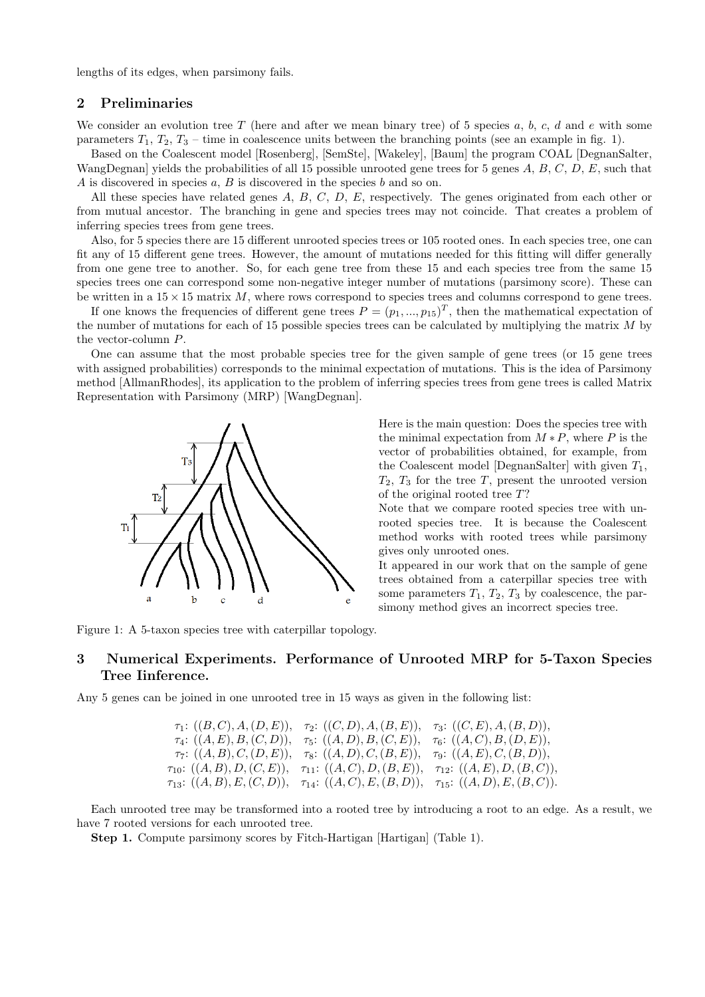lengths of its edges, when parsimony fails.

## 2 Preliminaries

We consider an evolution tree T (here and after we mean binary tree) of 5 species a, b, c, d and e with some parameters  $T_1, T_2, T_3$  – time in coalescence units between the branching points (see an example in fig. 1).

Based on the Coalescent model [Rosenberg], [SemSte], [Wakeley], [Baum] the program COAL [DegnanSalter, WangDegnan] yields the probabilities of all 15 possible unrooted gene trees for 5 genes  $A, B, C, D, E$ , such that A is discovered in species a, B is discovered in the species b and so on.

All these species have related genes  $A, B, C, D, E$ , respectively. The genes originated from each other or from mutual ancestor. The branching in gene and species trees may not coincide. That creates a problem of inferring species trees from gene trees.

Also, for 5 species there are 15 different unrooted species trees or 105 rooted ones. In each species tree, one can fit any of 15 different gene trees. However, the amount of mutations needed for this fitting will differ generally from one gene tree to another. So, for each gene tree from these 15 and each species tree from the same 15 species trees one can correspond some non-negative integer number of mutations (parsimony score). These can be written in a  $15 \times 15$  matrix M, where rows correspond to species trees and columns correspond to gene trees.

If one knows the frequencies of different gene trees  $P = (p_1, ..., p_{15})^T$ , then the mathematical expectation of the number of mutations for each of 15 possible species trees can be calculated by multiplying the matrix M by the vector-column P.

One can assume that the most probable species tree for the given sample of gene trees (or 15 gene trees with assigned probabilities) corresponds to the minimal expectation of mutations. This is the idea of Parsimony method [AllmanRhodes], its application to the problem of inferring species trees from gene trees is called Matrix Representation with Parsimony (MRP) [WangDegnan].



Here is the main question: Does the species tree with the minimal expectation from  $M * P$ , where P is the vector of probabilities obtained, for example, from the Coalescent model [DegnanSalter] with given  $T_1$ ,  $T_2$ ,  $T_3$  for the tree T, present the unrooted version of the original rooted tree T?

Note that we compare rooted species tree with unrooted species tree. It is because the Coalescent method works with rooted trees while parsimony gives only unrooted ones.

It appeared in our work that on the sample of gene trees obtained from a caterpillar species tree with some parameters  $T_1, T_2, T_3$  by coalescence, the parsimony method gives an incorrect species tree.

Figure 1: A 5-taxon species tree with caterpillar topology.

## 3 Numerical Experiments. Performance of Unrooted MRP for 5-Taxon Species Tree Iinference.

Any 5 genes can be joined in one unrooted tree in 15 ways as given in the following list:

$$
\tau_1: ((B, C), A, (D, E)), \quad \tau_2: ((C, D), A, (B, E)), \quad \tau_3: ((C, E), A, (B, D)),
$$
\n
$$
\tau_4: ((A, E), B, (C, D)), \quad \tau_5: ((A, D), B, (C, E)), \quad \tau_6: ((A, C), B, (D, E)),
$$
\n
$$
\tau_7: ((A, B), C, (D, E)), \quad \tau_8: ((A, D), C, (B, E)), \quad \tau_9: ((A, E), C, (B, D)),
$$
\n
$$
\tau_{10}: ((A, B), D, (C, E)), \quad \tau_{11}: ((A, C), D, (B, E)), \quad \tau_{12}: ((A, E), D, (B, C)),
$$
\n
$$
\tau_{13}: ((A, B), E, (C, D)), \quad \tau_{14}: ((A, C), E, (B, D)), \quad \tau_{15}: ((A, D), E, (B, C)).
$$

Each unrooted tree may be transformed into a rooted tree by introducing a root to an edge. As a result, we have 7 rooted versions for each unrooted tree.

Step 1. Compute parsimony scores by Fitch-Hartigan [Hartigan] (Table 1).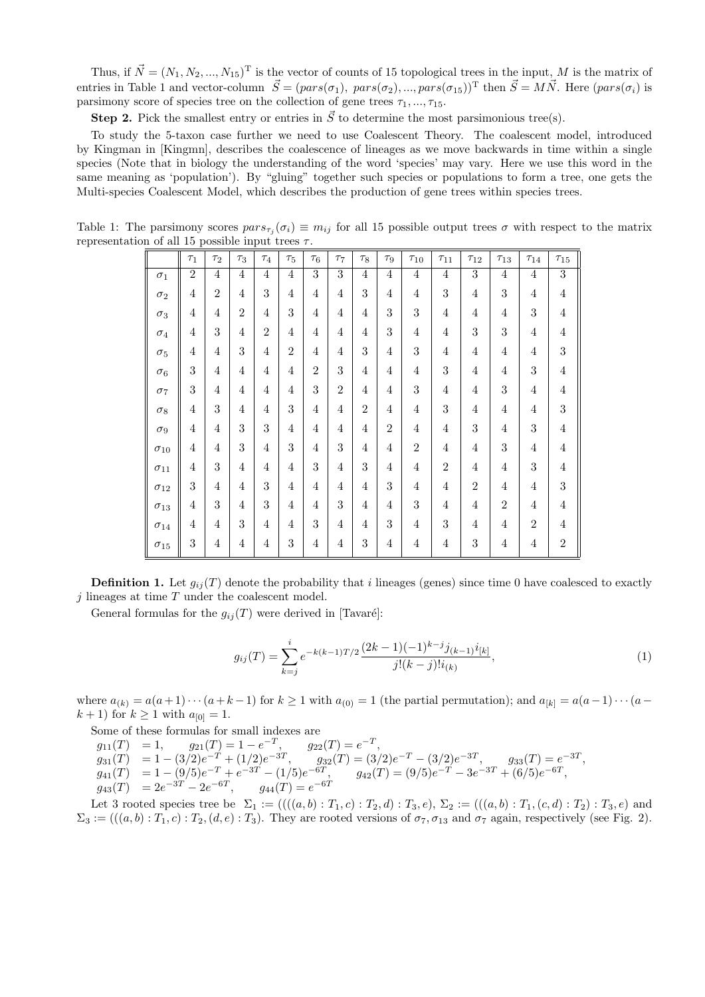Thus, if  $\vec{N} = (N_1, N_2, ..., N_{15})^T$  is the vector of counts of 15 topological trees in the input, M is the matrix of entries in Table 1 and vector-column  $\vec{S} = (pars(\sigma_1), \; pars(\sigma_2), ..., pars(\sigma_{15}))^{\text{T}}$  then  $\vec{S} = M\vec{N}$ . Here  $(pars(\sigma_i)$  is parsimony score of species tree on the collection of gene trees  $\tau_1, \ldots, \tau_{15}$ .

**Step 2.** Pick the smallest entry or entries in  $\vec{S}$  to determine the most parsimonious tree(s).

To study the 5-taxon case further we need to use Coalescent Theory. The coalescent model, introduced by Kingman in [Kingmn], describes the coalescence of lineages as we move backwards in time within a single species (Note that in biology the understanding of the word 'species' may vary. Here we use this word in the same meaning as 'population'). By "gluing" together such species or populations to form a tree, one gets the Multi-species Coalescent Model, which describes the production of gene trees within species trees.

Table 1: The parsimony scores  $pars_{\tau_j}(\sigma_i) \equiv m_{ij}$  for all 15 possible output trees  $\sigma$  with respect to the matrix representation of all 15 possible input trees  $\tau$ .

|               | $\tau_1$       | $\tau_2$       | $\tau_3$       | $\tau_4$       | $\tau_{5}$     | $\tau_6$       | $\tau_7$       | $\tau_8$         | $\tau_9$       | $\tau_{10}$    | $\tau_{11}$    | $\tau_{12}$    | $\tau_{13}$    | $\tau_{14}$    | $\tau_{15}$    |
|---------------|----------------|----------------|----------------|----------------|----------------|----------------|----------------|------------------|----------------|----------------|----------------|----------------|----------------|----------------|----------------|
| $\sigma_1$    | $\overline{2}$ | $\overline{4}$ | $\overline{4}$ | $\overline{4}$ | $\overline{4}$ | $\overline{3}$ | $\overline{3}$ | $\overline{4}$   | $\overline{4}$ | $\overline{4}$ | $\overline{4}$ | $\overline{3}$ | $\overline{4}$ | $\overline{4}$ | $\overline{3}$ |
| $\sigma_2$    | 4              | $\overline{2}$ | $\overline{4}$ | 3              | 4              | 4              | 4              | 3                | 4              | $\overline{4}$ | 3              | $\overline{4}$ | 3              | $\overline{4}$ | $\overline{4}$ |
| $\sigma_3$    | $\overline{4}$ | 4              | $\overline{2}$ | 4              | 3              | 4              | 4              | $\overline{4}$   | 3              | 3              | $\overline{4}$ | $\overline{4}$ | $\overline{4}$ | 3              | $\overline{4}$ |
| $\sigma_4$    | 4              | 3              | $\overline{4}$ | $\overline{2}$ | 4              | $\overline{4}$ | 4              | $\overline{4}$   | 3              | $\overline{4}$ | 4              | 3              | 3              | $\overline{4}$ | $\overline{4}$ |
| $\sigma_5$    | 4              | 4              | 3              | 4              | $\overline{2}$ | 4              | 4              | 3                | 4              | 3              | $\overline{4}$ | $\overline{4}$ | $\overline{4}$ | $\overline{4}$ | 3              |
| $\sigma_6$    | 3              | 4              | $\overline{4}$ | 4              | $\overline{4}$ | $\overline{2}$ | 3              | $\overline{4}$   | $\overline{4}$ | $\overline{4}$ | 3              | $\overline{4}$ | $\overline{4}$ | 3              | $\overline{4}$ |
| $\sigma_7$    | 3              | 4              | $\overline{4}$ | 4              | $\overline{4}$ | 3              | $\overline{2}$ | $\overline{4}$   | 4              | 3              | $\overline{4}$ | 4              | 3              | $\overline{4}$ | $\overline{4}$ |
| $\sigma_8$    | 4              | 3              | $\overline{4}$ | 4              | 3              | 4              | 4              | $\overline{2}$   | $\overline{4}$ | $\overline{4}$ | 3              | $\overline{4}$ | $\overline{4}$ | $\overline{4}$ | 3              |
| $\sigma_9$    | $\overline{4}$ | 4              | 3              | 3              | 4              | 4              | 4              | $\overline{4}$   | $\overline{2}$ | $\overline{4}$ | $\overline{4}$ | 3              | $\overline{4}$ | 3              | $\overline{4}$ |
| $\sigma_{10}$ | $\overline{4}$ | 4              | 3              | 4              | 3              | 4              | 3              | $\overline{4}$   | $\overline{4}$ | $\overline{2}$ | $\overline{4}$ | $\overline{4}$ | 3              | $\overline{4}$ | $\overline{4}$ |
| $\sigma_{11}$ | $\overline{4}$ | 3              | $\overline{4}$ | $\overline{4}$ | $\overline{4}$ | 3              | 4              | 3                | $\overline{4}$ | $\overline{4}$ | $\overline{2}$ | $\overline{4}$ | $\overline{4}$ | 3              | $\overline{4}$ |
| $\sigma_{12}$ | 3              | $\overline{4}$ | $\overline{4}$ | 3              | $\overline{4}$ | 4              | 4              | $\overline{4}$   | 3              | $\overline{4}$ | $\overline{4}$ | $\overline{2}$ | $\overline{4}$ | $\overline{4}$ | 3              |
| $\sigma_{13}$ | $\overline{4}$ | 3              | $\overline{4}$ | 3              | $\overline{4}$ | 4              | 3              | $\overline{4}$   | $\overline{4}$ | 3              | $\overline{4}$ | $\overline{4}$ | $\overline{2}$ | $\overline{4}$ | $\overline{4}$ |
| $\sigma_{14}$ | 4              | 4              | 3              | 4              | 4              | 3              | 4              | 4                | 3              | $\overline{4}$ | 3              | $\overline{4}$ | 4              | $\overline{2}$ | $\overline{4}$ |
| $\sigma_{15}$ | 3              | $\overline{4}$ | $\overline{4}$ | $\overline{4}$ | 3              | 4              | $\overline{4}$ | $\boldsymbol{3}$ | 4              | $\overline{4}$ | $\overline{4}$ | 3              | $\overline{4}$ | $\overline{4}$ | $\overline{2}$ |

**Definition 1.** Let  $g_{ij}(T)$  denote the probability that i lineages (genes) since time 0 have coalesced to exactly  $j$  lineages at time  $T$  under the coalescent model.

General formulas for the  $g_{ij}(T)$  were derived in [Tavaré]:

$$
g_{ij}(T) = \sum_{k=j}^{i} e^{-k(k-1)T/2} \frac{(2k-1)(-1)^{k-j} j_{(k-1)} i_{[k]}}{j!(k-j)! i_{(k)}},\tag{1}
$$

where  $a_{(k)} = a(a+1)\cdots(a+k-1)$  for  $k \ge 1$  with  $a_{(0)} = 1$  (the partial permutation); and  $a_{[k]} = a(a-1)\cdots(a-k-1)$  $(k + 1)$  for  $k \ge 1$  with  $a_{[0]} = 1$ .

Some of these formulas for small indexes are  $g_{11}(T) = 1, \qquad g_{21}(T) = 1 - e^{-T}, \qquad g_{22}(T) = e^{-T},$  $g_{31}(T) = 1 - (3/2)e^{-T} + (1/2)e^{-3T}$ ,  $g_{32}(T) = (3/2)e^{-T} - (3/2)e^{-3T}$ ,  $g_{33}(T) = e^{-3T}$ ,  $g_{41}(T) = 1 - (9/5)e^{-T} + e^{-3T} - (1/5)e^{-6T}, \qquad g_{42}(T) = (9/5)e^{-T} - 3e^{-3T} + (6/5)e^{-6T},$  $g_{43}(T) = 2e^{-3T} - 2e^{-6T}, \qquad g_{44}(T) = e^{-6T}$ 

Let 3 rooted species tree be  $\Sigma_1 := (((a, b) : T_1, c) : T_2, d) : T_3, e), \Sigma_2 := (((a, b) : T_1, (c, d) : T_2) : T_3, e)$  and  $\Sigma_3 := (((a, b) : T_1, c) : T_2, (d, e) : T_3)$ . They are rooted versions of  $\sigma_7, \sigma_{13}$  and  $\sigma_7$  again, respectively (see Fig. 2).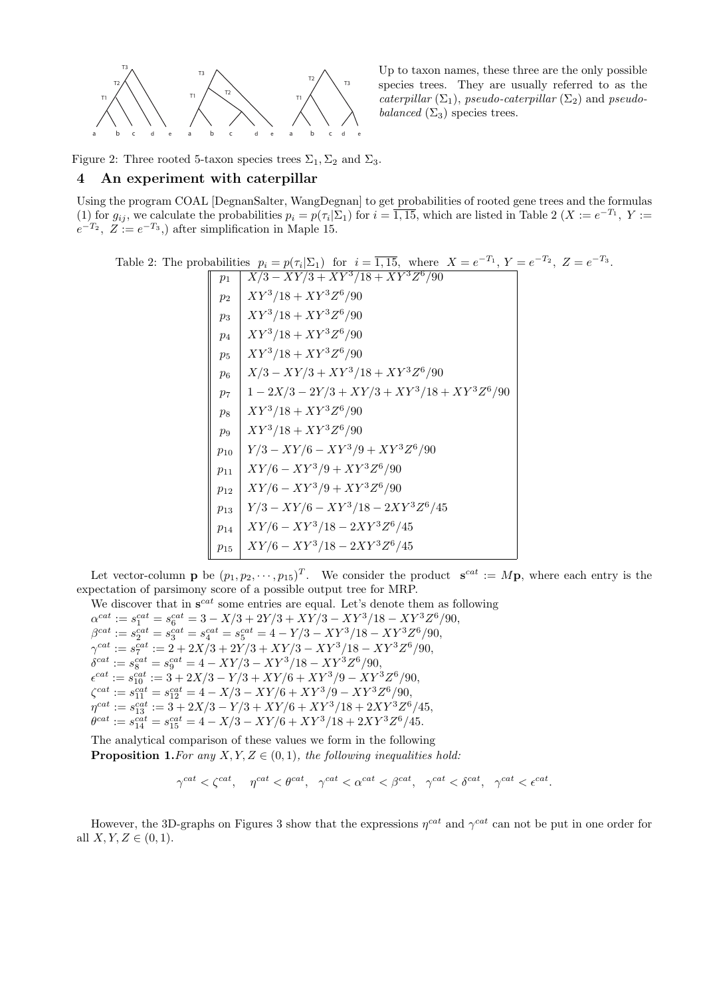

Up to taxon names, these three are the only possible species trees. They are usually referred to as the caterpillar  $(\Sigma_1)$ , pseudo-caterpillar  $(\Sigma_2)$  and pseudobalanced  $(\Sigma_3)$  species trees.

Figure 2: Three rooted 5-taxon species trees  $\Sigma_1$ ,  $\Sigma_2$  and  $\Sigma_3$ .

## 4 An experiment with caterpillar

Using the program COAL [DegnanSalter, WangDegnan] to get probabilities of rooted gene trees and the formulas (1) for  $g_{ij}$ , we calculate the probabilities  $p_i = p(\tau_i | \Sigma_1)$  for  $i = \overline{1, 15}$ , which are listed in Table 2  $(X := e^{-T_1}, Y :=$  $e^{-T_2}$ ,  $Z := e^{-T_3}$ , after simplification in Maple 15.

Table 2: The probabilities  $p_i = p(\tau_i | \Sigma_1)$  for  $i = \overline{1, 15}$ , where  $X = e^{-T_1}$ ,  $Y = e^{-T_2}$ ,  $Z = e^{-T_3}$ .

$$
\begin{array}{|c|c|c|c|}\hline p_1 & X/3 - XY/3 + XY^3/18 + XY^3Z^6/90\\ p_2 & XY^3/18 + XY^3Z^6/90\\ p_3 & XY^3/18 + XY^3Z^6/90\\ p_4 & XY^3/18 + XY^3Z^6/90\\ p_5 & XY^3/18 + XY^3Z^6/90\\ p_6 & X/3 - XY/3 + XY^3/18 + XY^3Z^6/90\\ p_7 & 1 - 2X/3 - 2Y/3 + XY/3 + XY^3/18 + XY^3Z^6/90\\ p_8 & XY^3/18 + XY^3Z^6/90\\ p_{10} & Y/3 - XY/6 - XY^3/9 + XY^3Z^6/90\\ p_{11} & XY/6 - XY^3/9 + XY^3Z^6/90\\ p_{12} & XY/6 - XY^3/9 + XY^3Z^6/90\\ p_{13} & Y/3 - XY/6 - XY^3/18 - 2XY^3Z^6/45\\ p_{14} & XY/6 - XY^3/18 - 2XY^3Z^6/45\\ p_{15} & XY/6 - XY^3/18 - 2XY^3Z^6/45\\ p_{16} & XY/6 - XY^3/18 - 2XY^3Z^6/45\\ \hline \end{array}
$$

Let vector-column **p** be  $(p_1, p_2, \dots, p_{15})^T$ . We consider the product  $\mathbf{s}^{cat} := M\mathbf{p}$ , where each entry is the expectation of parsimony score of a possible output tree for MRP.

We discover that in  $\mathbf{s}^{cat}$  some entries are equal. Let's denote them as following  $\alpha^{cat} := s_1^{cat} = s_6^{cat} = 3 - X/3 + 2Y/3 + XY/3 - XY^3/18 - XY^3Z^6/90,$  $\beta^{cat} := s_2^{cat} = s_3^{cat} = s_4^{cat} = s_5^{cat} = 4 - Y/3 - XY^3/18 - XY^3Z^6/90,$  $\gamma^{cat} := s_7^{cat} := 2 + 2X/3 + 2Y/3 + XY/3 - XY^3/18 - XY^3Z^6/90,$  $\delta^{cat} := s_8^{cat} = s_9^{cat} = 4 - XY/3 - XY^3/18 - XY^3Z^6/90,$  $\epsilon^{cat} := s_{10}^{cat} := 3 + 2X/3 - Y/3 + XY/6 + XY^3/9 - XY^3Z^6/90,$  $\zeta^{cat} := s_{11}^{cat} = s_{12}^{cat} = 4 - X/3 - XY/6 + XY^3/9 - XY^3Z^6/90,$  $\eta^{cat} := s_{13}^{cat} := 3 + 2X/3 - Y/3 + XY/6 + XY^3/18 + 2XY^3Z^6/45,$  $\theta^{cat} := s_{14}^{cat} = s_{15}^{cat} = 4 - X/3 - XY/6 + XY^3/18 + 2XY^3Z^6/45.$ 

The analytical comparison of these values we form in the following **Proposition 1.** For any  $X, Y, Z \in (0, 1)$ , the following inequalities hold:

$$
\gamma^{cat} < \zeta^{cat}, \quad \eta^{cat} < \theta^{cat}, \quad \gamma^{cat} < \alpha^{cat} < \beta^{cat}, \quad \gamma^{cat} < \delta^{cat}, \quad \gamma^{cat} < \epsilon^{cat}.
$$

However, the 3D-graphs on Figures 3 show that the expressions  $\eta^{cat}$  and  $\gamma^{cat}$  can not be put in one order for all  $X, Y, Z \in (0, 1)$ .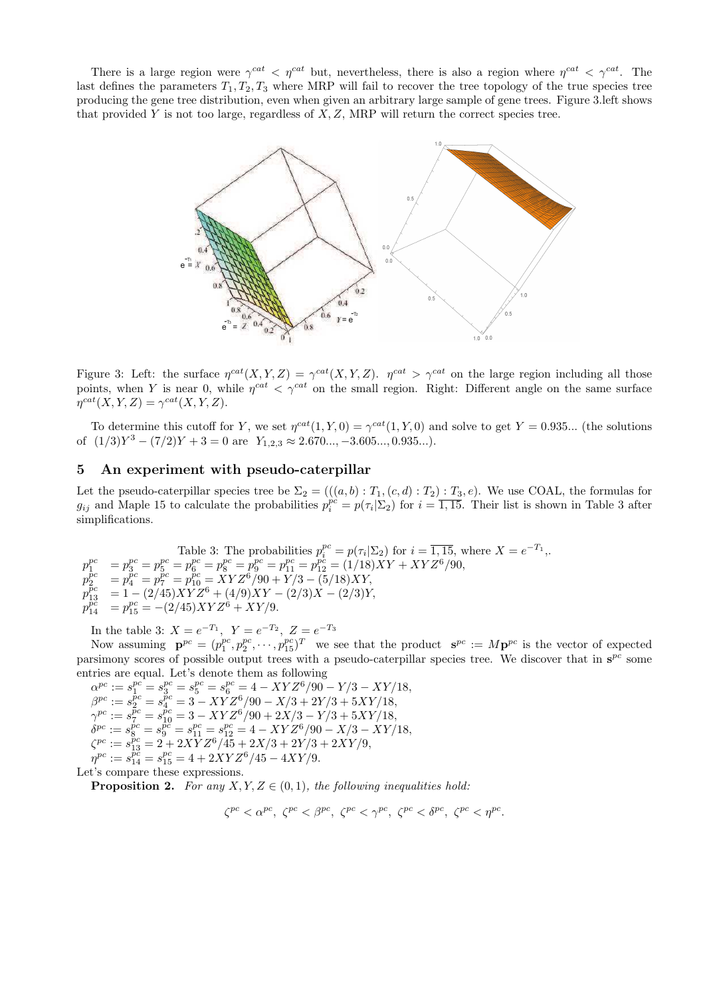There is a large region were  $\gamma^{cat} < \eta^{cat}$  but, nevertheless, there is also a region where  $\eta^{cat} < \gamma^{cat}$ . The last defines the parameters  $T_1, T_2, T_3$  where MRP will fail to recover the tree topology of the true species tree producing the gene tree distribution, even when given an arbitrary large sample of gene trees. Figure 3.left shows that provided Y is not too large, regardless of  $X, Z$ , MRP will return the correct species tree.



Figure 3: Left: the surface  $\eta^{cat}(X, Y, Z) = \gamma^{cat}(X, Y, Z)$ .  $\eta^{cat} > \gamma^{cat}$  on the large region including all those points, when Y is near 0, while  $\eta^{cat} < \gamma^{cat}$  on the small region. Right: Different angle on the same surface  $\eta^{cat}(X, Y, Z) = \gamma^{cat}(X, Y, Z).$ 

To determine this cutoff for Y, we set  $\eta^{cat}(1, Y, 0) = \gamma^{cat}(1, Y, 0)$  and solve to get  $Y = 0.935...$  (the solutions of  $(1/3)Y^3 - (7/2)Y + 3 = 0$  are  $Y_{1,2,3} \approx 2.670..., -3.605..., 0.935...$ .

## 5 An experiment with pseudo-caterpillar

Let the pseudo-caterpillar species tree be  $\Sigma_2 = (((a, b) : T_1, (c, d) : T_2) : T_3, e)$ . We use COAL, the formulas for  $g_{ij}$  and Maple 15 to calculate the probabilities  $p_i^{pc} = p(\tau_i | \Sigma_2)$  for  $i = \overline{1,15}$ . Their list is shown in Table 3 after simplifications.

Table 3: The probabilities  $p_i^{pc} = p(\tau_i | \Sigma_2)$  for  $i = \overline{1, 15}$ , where  $X = e^{-T_1}$ , p pc  $p_1^{pc} = p_3^{pc} = p_5^{pc} = p_6^{pc} = p_8^{pc} = p_{9}^{pc} = p_{11}^{pc} = p_{12}^{pc} = (1/18)XY + XYZ^6/90,$ p  $\tilde{p}c$  $\bar{p}^c_2 = p_4^{pc} = p_7^{pc} = p_{10}^{pc} = \bar{X} Y Z^6 / 90 + \bar{Y} / 3 - (5/18) \bar{X} Y,$ p  $\tilde{p}c$  $\frac{pc}{13}$  = 1 – (2/45) $XYZ^6 + (4/9)XY - (2/3)X - (2/3)Y$ , p  $\vec{p}$ č  $\frac{\ddot{p}\ddot{c}}{14}$  =  $p_{15}^{pc}$  = -(2/45)  $XYZ^{\dot{6}} + XY/9$ .

In the table 3:  $X = e^{-T_1}$ ,  $Y = e^{-T_2}$ ,  $Z = e^{-T_3}$ 

Now assuming  $\mathbf{p}^{pc} = (p_1^{pc}, p_2^{pc}, \cdots, p_{15}^{pc})^T$  we see that the product  $\mathbf{s}^{pc} := M\mathbf{p}^{pc}$  is the vector of expected parsimony scores of possible output trees with a pseudo-caterpillar species tree. We discover that in  $s^{pc}$  some entries are equal. Let's denote them as following

 $\alpha^{pc} := s_1^{pc} = s_3^{pc} = s_5^{pc} = s_6^{pc} = 4 - XYZ^6/90 - Y/3 - XY/18,$  $\beta^{pc} := s_2^{\vec{p}c} = s_4^{\vec{p}c} = 3 - XYZ^6/90 - X/3 + 2Y/3 + 5XY/18,$  $\gamma^{pc} := s_7^{\bar{p}c} = s_{10}^{\bar{p}c} = 3 - XYZ^6/90 + 2X/3 - Y/3 + 5XY/18,$  $\delta^{pc} := s_8^{pc} = s_9^{pc} = s_{11}^{pc} = s_{12}^{pc} = 4 - XYZ^6/90 - X/3 - XY/18,$  $\zeta^{pc} := s_{13}^{pc} = 2 + 2X\overline{Y}Z^6/45 + 2X/3 + 2Y/3 + 2XY/9,$  $\eta^{pc} := s_{14}^{\overline{pc}} = s_{15}^{pc} = 4 + 2XYZ^6/45 - 4XY/9.$ Let's compare these expressions.

**Proposition 2.** For any  $X, Y, Z \in (0, 1)$ , the following inequalities hold:

$$
\zeta^{pc}<\alpha^{pc},\,\,\zeta^{pc}<\beta^{pc},\,\,\zeta^{pc}<\gamma^{pc},\,\,\zeta^{pc}<\delta^{pc},\,\,\zeta^{pc}<\eta^{pc}.
$$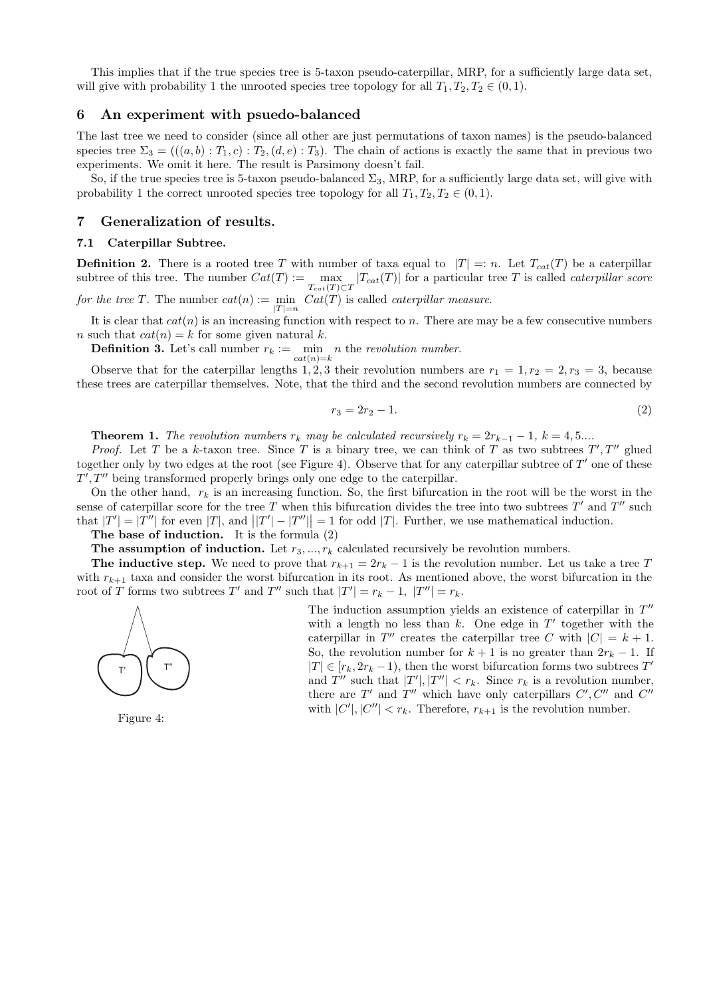This implies that if the true species tree is 5-taxon pseudo-caterpillar, MRP, for a sufficiently large data set, will give with probability 1 the unrooted species tree topology for all  $T_1, T_2, T_2 \in (0, 1)$ .

## 6 An experiment with psuedo-balanced

The last tree we need to consider (since all other are just permutations of taxon names) is the pseudo-balanced species tree  $\Sigma_3 = (((a, b) : T_1, c) : T_2, (d, e) : T_3)$ . The chain of actions is exactly the same that in previous two experiments. We omit it here. The result is Parsimony doesn't fail.

So, if the true species tree is 5-taxon pseudo-balanced  $\Sigma_3$ , MRP, for a sufficiently large data set, will give with probability 1 the correct unrooted species tree topology for all  $T_1, T_2, T_2 \in (0, 1)$ .

## 7 Generalization of results.

## 7.1 Caterpillar Subtree.

**Definition 2.** There is a rooted tree T with number of taxa equal to  $|T| =: n$ . Let  $T_{cat}(T)$  be a caterpillar subtree of this tree. The number  $Cat(T) := \max_{T_{cat}(T) \subset T} |T_{cat}(T)|$  for a particular tree T is called *caterpillar score* 

for the tree T. The number  $cat(n) := \min_{|T|=n} Cat(T)$  is called *caterpillar measure*.

It is clear that  $cat(n)$  is an increasing function with respect to n. There are may be a few consecutive numbers n such that  $cat(n) = k$  for some given natural k.

**Definition 3.** Let's call number  $r_k := \min_{k=1}^{\infty} n$  the revolution number.  $cat(n)=k$ 

Observe that for the caterpillar lengths 1, 2, 3 their revolution numbers are  $r_1 = 1, r_2 = 2, r_3 = 3$ , because these trees are caterpillar themselves. Note, that the third and the second revolution numbers are connected by

$$
r_3 = 2r_2 - 1.\t\t(2)
$$

**Theorem 1.** The revolution numbers  $r_k$  may be calculated recursively  $r_k = 2r_{k-1} - 1$ ,  $k = 4, 5...$ 

*Proof.* Let T be a k-taxon tree. Since T is a binary tree, we can think of T as two subtrees  $T', T''$  glued together only by two edges at the root (see Figure 4). Observe that for any caterpillar subtree of  $T'$  one of these  $T', T''$  being transformed properly brings only one edge to the caterpillar.

On the other hand,  $r_k$  is an increasing function. So, the first bifurcation in the root will be the worst in the sense of caterpillar score for the tree T when this bifurcation divides the tree into two subtrees  $T'$  and  $T''$  such that  $|T'| = |T''|$  for even  $|T|$ , and  $||T'|-|T''||=1$  for odd  $|T|$ . Further, we use mathematical induction.

The base of induction. It is the formula (2)

The assumption of induction. Let  $r_3, ..., r_k$  calculated recursively be revolution numbers.

The inductive step. We need to prove that  $r_{k+1} = 2r_k - 1$  is the revolution number. Let us take a tree T with  $r_{k+1}$  taxa and consider the worst bifurcation in its root. As mentioned above, the worst bifurcation in the root of T forms two subtrees T' and T'' such that  $|T'| = r_k - 1$ ,  $|T''| = r_k$ .



The induction assumption yields an existence of caterpillar in  $T''$ with a length no less than  $k$ . One edge in  $T'$  together with the caterpillar in T'' creates the caterpillar tree C with  $|C| = k + 1$ . So, the revolution number for  $k + 1$  is no greater than  $2r_k - 1$ . If  $|T| \in [r_k, 2r_k - 1)$ , then the worst bifurcation forms two subtrees  $T'$ and T'' such that  $|T'|, |T''| < r_k$ . Since  $r_k$  is a revolution number, there are  $T'$  and  $T''$  which have only caterpillars  $C', C''$  and  $C''$ with  $|C'|, |C''| < r_k$ . Therefore,  $r_{k+1}$  is the revolution number.

Figure 4: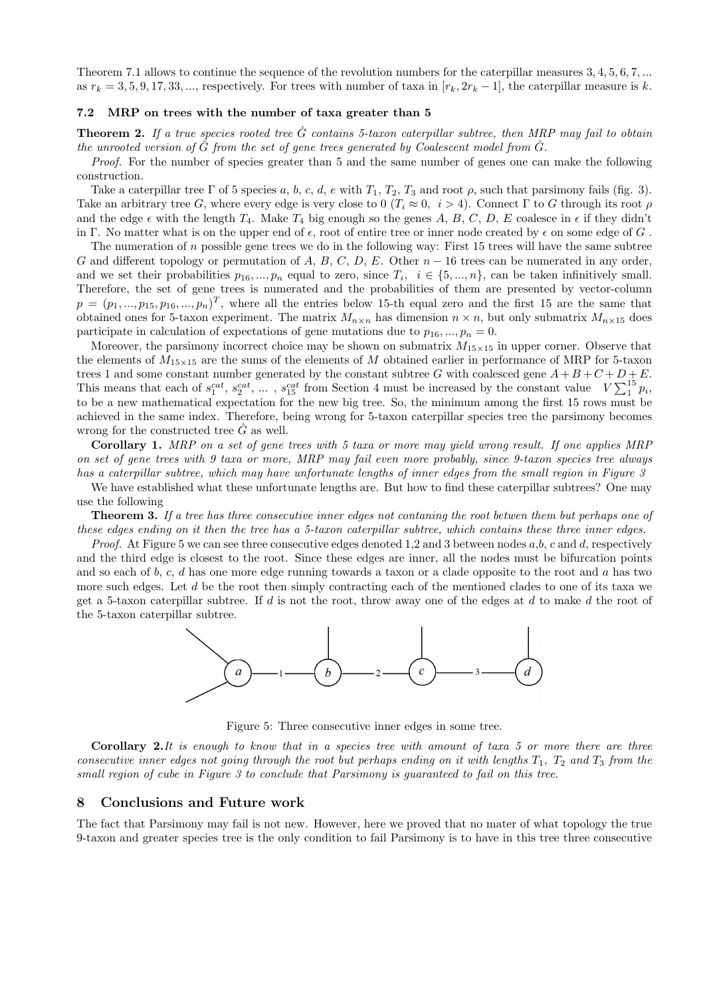Theorem 7.1 allows to continue the sequence of the revolution numbers for the caterpillar measures 3, 4, 5, 6, 7, ... as  $r_k = 3, 5, 9, 17, 33, \dots$ , respectively. For trees with number of taxa in  $[r_k, 2r_k - 1]$ , the caterpillar measure is k.

#### 7.2 MRP on trees with the number of taxa greater than 5

**Theorem 2.** If a true species rooted tree  $\tilde{G}$  contains 5-taxon caterpillar subtree, then MRP may fail to obtain the unrooted version of  $\hat{G}$  from the set of gene trees generated by Coalescent model from  $\hat{G}$ .

Proof. For the number of species greater than 5 and the same number of genes one can make the following construction.

Take a caterpillar tree Γ of 5 species a, b, c, d, e with  $T_1, T_2, T_3$  and root  $\rho$ , such that parsimony fails (fig. 3). Take an arbitrary tree G, where every edge is very close to 0  $(T_i \approx 0, i > 4)$ . Connect Γ to G through its root  $\rho$ and the edge  $\epsilon$  with the length  $T_4$ . Make  $T_4$  big enough so the genes A, B, C, D, E coalesce in  $\epsilon$  if they didn't in Γ. No matter what is on the upper end of  $\epsilon$ , root of entire tree or inner node created by  $\epsilon$  on some edge of G.

The numeration of  $n$  possible gene trees we do in the following way: First 15 trees will have the same subtree G and different topology or permutation of A, B, C, D, E. Other  $n-16$  trees can be numerated in any order, and we set their probabilities  $p_{16},...,p_n$  equal to zero, since  $T_i, i \in \{5,...,n\}$ , can be taken infinitively small. Therefore, the set of gene trees is numerated and the probabilities of them are presented by vector-column  $p = (p_1, ..., p_{15}, p_{16}, ..., p_n)^T$ , where all the entries below 15-th equal zero and the first 15 are the same that obtained ones for 5-taxon experiment. The matrix  $M_{n\times n}$  has dimension  $n \times n$ , but only submatrix  $M_{n\times 15}$  does participate in calculation of expectations of gene mutations due to  $p_{16},..., p_n = 0$ .

Moreover, the parsimony incorrect choice may be shown on submatrix  $M_{15\times15}$  in upper corner. Observe that the elements of  $M_{15\times15}$  are the sums of the elements of M obtained earlier in performance of MRP for 5-taxon trees 1 and some constant number generated by the constant subtree G with coalesced gene  $A + B + C + D + E$ . This means that each of  $s_1^{cat}, s_2^{cat}, \ldots, s_{15}^{cat}$  from Section 4 must be increased by the constant value  $V\sum_1^{15} p_i$ , to be a new mathematical expectation for the new big tree. So, the minimum among the first 15 rows must be achieved in the same index. Therefore, being wrong for 5-taxon caterpillar species tree the parsimony becomes wrong for the constructed tree  $\ddot{G}$  as well.

Corollary 1. MRP on a set of gene trees with 5 taxa or more may yield wrong result. If one applies MRP on set of gene trees with 9 taxa or more, MRP may fail even more probably, since 9-taxon species tree always has a caterpillar subtree, which may have unfortunate lengths of inner edges from the small region in Figure 3

We have established what these unfortunate lengths are. But how to find these caterpillar subtrees? One may use the following

**Theorem 3.** If a tree has three consecutive inner edges not contaning the root betwen them but perhaps one of these edges ending on it then the tree has a 5-taxon caterpillar subtree, which contains these three inner edges.

*Proof.* At Figure 5 we can see three consecutive edges denoted 1,2 and 3 between nodes  $a,b,c$  and d, respectively and the third edge is closest to the root. Since these edges are inner, all the nodes must be bifurcation points and so each of b, c, d has one more edge running towards a taxon or a clade opposite to the root and a has two more such edges. Let d be the root then simply contracting each of the mentioned clades to one of its taxa we get a 5-taxon caterpillar subtree. If d is not the root, throw away one of the edges at d to make d the root of the 5-taxon caterpillar subtree.



Figure 5: Three consecutive inner edges in some tree.

**Corollary 2.**It is enough to know that in a species tree with amount of taxa 5 or more there are three consecutive inner edges not going through the root but perhaps ending on it with lengths  $T_1$ ,  $T_2$  and  $T_3$  from the small region of cube in Figure 3 to conclude that Parsimony is guaranteed to fail on this tree.

## 8 Conclusions and Future work

The fact that Parsimony may fail is not new. However, here we proved that no mater of what topology the true 9-taxon and greater species tree is the only condition to fail Parsimony is to have in this tree three consecutive